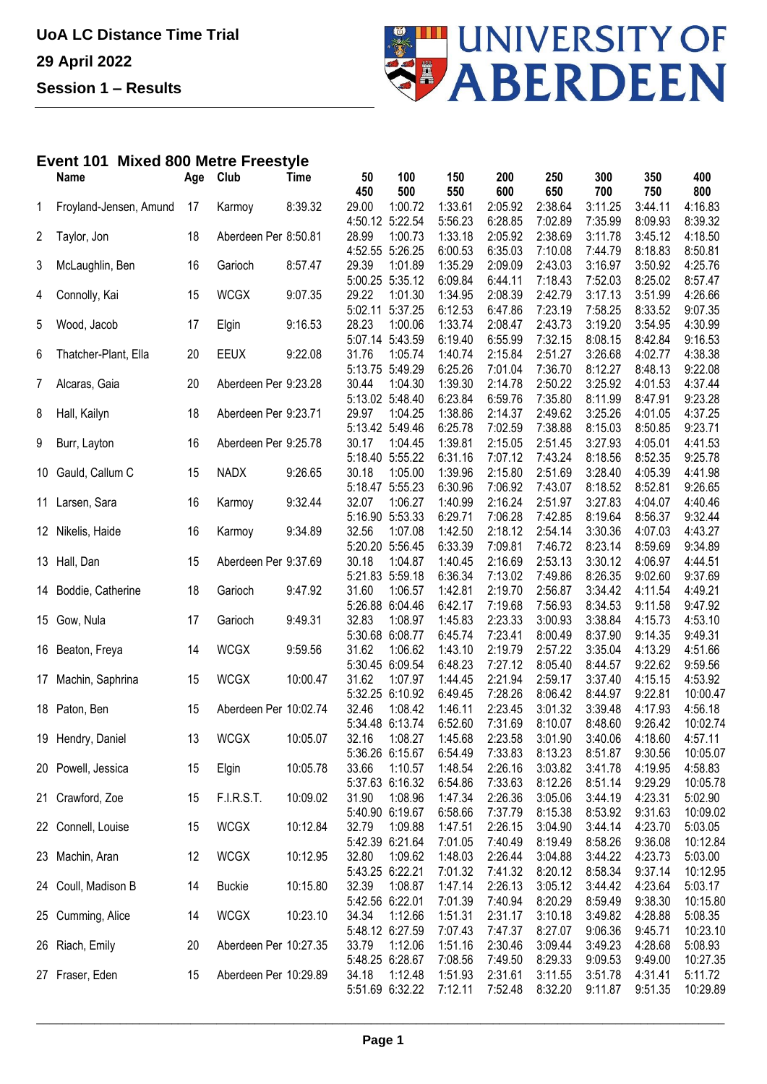

## **Event 101 Mixed 800 Metre Freestyle**

|    | Name                   | Age | Club                  | <b>Time</b> | 50              | 100     | 150     | 200     | 250     | 300     | 350     | 400      |
|----|------------------------|-----|-----------------------|-------------|-----------------|---------|---------|---------|---------|---------|---------|----------|
|    |                        |     |                       |             | 450             | 500     | 550     | 600     | 650     | 700     | 750     | 800      |
| 1  | Froyland-Jensen, Amund | 17  | Karmoy                | 8:39.32     | 29.00           | 1:00.72 | 1:33.61 | 2:05.92 | 2:38.64 | 3:11.25 | 3:44.11 | 4:16.83  |
|    |                        |     |                       |             | 4:50.12 5:22.54 |         | 5:56.23 | 6:28.85 | 7:02.89 | 7:35.99 | 8:09.93 | 8:39.32  |
| 2  | Taylor, Jon            | 18  | Aberdeen Per 8:50.81  |             | 28.99           | 1:00.73 | 1:33.18 | 2:05.92 | 2:38.69 | 3:11.78 | 3:45.12 | 4:18.50  |
|    |                        |     |                       |             | 4:52.55 5:26.25 |         | 6:00.53 | 6:35.03 | 7:10.08 | 7:44.79 | 8:18.83 | 8:50.81  |
| 3  | McLaughlin, Ben        | 16  | Garioch               | 8:57.47     | 29.39           | 1:01.89 | 1:35.29 | 2:09.09 | 2:43.03 | 3:16.97 | 3:50.92 | 4:25.76  |
|    |                        |     |                       |             | 5:00.25 5:35.12 |         | 6:09.84 | 6:44.11 | 7:18.43 | 7:52.03 | 8:25.02 | 8:57.47  |
| 4  | Connolly, Kai          | 15  | <b>WCGX</b>           | 9:07.35     | 29.22           | 1:01.30 | 1:34.95 | 2:08.39 | 2:42.79 | 3:17.13 | 3:51.99 | 4:26.66  |
|    |                        |     |                       |             | 5:02.11         | 5:37.25 | 6:12.53 | 6:47.86 | 7:23.19 | 7:58.25 | 8:33.52 | 9:07.35  |
| 5  | Wood, Jacob            | 17  | Elgin                 | 9:16.53     | 28.23           | 1:00.06 | 1:33.74 | 2:08.47 | 2:43.73 | 3:19.20 | 3:54.95 | 4:30.99  |
|    |                        |     |                       |             | 5:07.14         | 5:43.59 | 6:19.40 | 6:55.99 | 7:32.15 | 8:08.15 | 8:42.84 | 9:16.53  |
| 6  | Thatcher-Plant, Ella   | 20  | <b>EEUX</b>           | 9:22.08     | 31.76           | 1:05.74 | 1:40.74 | 2:15.84 | 2:51.27 | 3:26.68 | 4:02.77 | 4:38.38  |
|    |                        |     |                       |             | 5:13.75 5:49.29 |         | 6:25.26 | 7:01.04 | 7:36.70 | 8:12.27 | 8:48.13 | 9:22.08  |
| 7  | Alcaras, Gaia          | 20  | Aberdeen Per 9:23.28  |             | 30.44           | 1:04.30 | 1:39.30 | 2:14.78 | 2:50.22 | 3:25.92 | 4:01.53 | 4:37.44  |
|    |                        |     |                       |             | 5:13.02 5:48.40 |         | 6:23.84 | 6:59.76 | 7:35.80 | 8:11.99 | 8:47.91 | 9:23.28  |
| 8  | Hall, Kailyn           | 18  | Aberdeen Per 9:23.71  |             | 29.97           | 1:04.25 | 1:38.86 | 2:14.37 | 2:49.62 | 3:25.26 | 4:01.05 | 4:37.25  |
|    |                        |     |                       |             | 5:13.42 5:49.46 |         | 6:25.78 | 7:02.59 | 7:38.88 | 8:15.03 | 8:50.85 | 9:23.71  |
| 9  | Burr, Layton           | 16  | Aberdeen Per 9:25.78  |             | 30.17           | 1:04.45 | 1:39.81 | 2:15.05 | 2:51.45 | 3:27.93 | 4:05.01 | 4:41.53  |
|    |                        |     |                       |             | 5:18.40 5:55.22 |         | 6:31.16 | 7:07.12 | 7:43.24 | 8:18.56 | 8:52.35 | 9:25.78  |
| 10 | Gauld, Callum C        | 15  | <b>NADX</b>           | 9:26.65     | 30.18           | 1:05.00 | 1:39.96 | 2:15.80 | 2:51.69 | 3:28.40 | 4:05.39 | 4:41.98  |
|    |                        |     |                       |             | 5:18.47         | 5:55.23 | 6:30.96 | 7:06.92 | 7:43.07 | 8:18.52 | 8:52.81 | 9:26.65  |
| 11 | Larsen, Sara           | 16  | Karmoy                | 9:32.44     | 32.07           | 1:06.27 | 1:40.99 | 2:16.24 | 2:51.97 | 3:27.83 | 4:04.07 | 4:40.46  |
|    |                        |     |                       |             | 5:16.90         | 5:53.33 | 6:29.71 | 7:06.28 | 7:42.85 | 8:19.64 | 8:56.37 | 9:32.44  |
|    | 12 Nikelis, Haide      | 16  | Karmoy                | 9:34.89     | 32.56           | 1:07.08 | 1:42.50 | 2:18.12 | 2:54.14 | 3:30.36 | 4:07.03 | 4:43.27  |
|    |                        |     |                       |             | 5:20.20 5:56.45 |         | 6:33.39 | 7:09.81 | 7:46.72 | 8:23.14 | 8:59.69 | 9:34.89  |
|    | 13 Hall, Dan           | 15  | Aberdeen Per 9:37.69  |             | 30.18           | 1:04.87 | 1:40.45 | 2:16.69 | 2:53.13 | 3:30.12 | 4:06.97 | 4:44.51  |
|    |                        |     |                       |             | 5:21.83 5:59.18 |         | 6:36.34 | 7:13.02 | 7:49.86 | 8:26.35 | 9:02.60 | 9:37.69  |
|    | 14 Boddie, Catherine   | 18  | Garioch               | 9:47.92     | 31.60           | 1:06.57 | 1:42.81 | 2:19.70 | 2:56.87 | 3:34.42 | 4:11.54 | 4:49.21  |
|    |                        |     |                       |             | 5:26.88         | 6:04.46 | 6:42.17 | 7:19.68 | 7:56.93 | 8:34.53 | 9:11.58 | 9:47.92  |
|    | 15 Gow, Nula           | 17  | Garioch               | 9:49.31     | 32.83           | 1:08.97 | 1:45.83 | 2:23.33 | 3:00.93 | 3:38.84 | 4:15.73 | 4:53.10  |
|    |                        |     |                       |             | 5:30.68         | 6:08.77 | 6:45.74 | 7:23.41 | 8:00.49 | 8:37.90 | 9:14.35 | 9:49.31  |
| 16 | Beaton, Freya          | 14  | <b>WCGX</b>           | 9:59.56     | 31.62           | 1:06.62 | 1:43.10 | 2:19.79 | 2:57.22 | 3:35.04 | 4:13.29 | 4:51.66  |
|    |                        |     |                       |             | 5:30.45 6:09.54 |         | 6:48.23 | 7:27.12 | 8:05.40 | 8:44.57 | 9:22.62 | 9:59.56  |
| 17 | Machin, Saphrina       | 15  | <b>WCGX</b>           | 10:00.47    | 31.62           | 1:07.97 | 1:44.45 | 2:21.94 | 2:59.17 | 3:37.40 | 4:15.15 | 4:53.92  |
|    |                        |     |                       |             | 5:32.25         | 6:10.92 | 6:49.45 | 7:28.26 | 8:06.42 | 8:44.97 | 9:22.81 | 10:00.47 |
|    | 18 Paton, Ben          | 15  | Aberdeen Per 10:02.74 |             | 32.46           | 1:08.42 | 1:46.11 | 2:23.45 | 3:01.32 | 3:39.48 | 4:17.93 | 4:56.18  |
|    |                        |     |                       |             | 5:34.48 6:13.74 |         | 6:52.60 | 7:31.69 | 8:10.07 | 8:48.60 | 9:26.42 | 10:02.74 |
|    | 19 Hendry, Daniel      | 13  | <b>WCGX</b>           | 10:05.07    | 32.16           | 1:08.27 | 1:45.68 | 2:23.58 | 3:01.90 | 3:40.06 | 4:18.60 | 4:57.11  |
|    |                        |     |                       |             | 5:36.26 6:15.67 |         | 6:54.49 | 7:33.83 | 8:13.23 | 8:51.87 | 9:30.56 | 10:05.07 |
|    | 20 Powell, Jessica     | 15  | Elgin                 | 10:05.78    | 33.66           | 1:10.57 | 1:48.54 | 2:26.16 | 3:03.82 | 3:41.78 | 4:19.95 | 4:58.83  |
|    |                        |     |                       |             | 5:37.63 6:16.32 |         | 6:54.86 | 7:33.63 | 8:12.26 | 8:51.14 | 9:29.29 | 10:05.78 |
|    | 21 Crawford, Zoe       | 15  | F.I.R.S.T.            | 10:09.02    | 31.90           | 1:08.96 | 1:47.34 | 2:26.36 | 3:05.06 | 3:44.19 | 4:23.31 | 5:02.90  |
|    |                        |     |                       |             | 5:40.90 6:19.67 |         | 6:58.66 | 7:37.79 | 8:15.38 | 8:53.92 | 9:31.63 | 10:09.02 |
|    | 22 Connell, Louise     | 15  | <b>WCGX</b>           | 10:12.84    | 32.79           | 1:09.88 | 1:47.51 | 2:26.15 | 3:04.90 | 3:44.14 | 4:23.70 | 5:03.05  |
|    |                        |     |                       |             | 5:42.39 6:21.64 |         | 7:01.05 | 7:40.49 | 8:19.49 | 8:58.26 | 9:36.08 | 10:12.84 |
|    | 23 Machin, Aran        | 12  | <b>WCGX</b>           | 10:12.95    | 32.80           | 1:09.62 | 1:48.03 | 2:26.44 | 3:04.88 | 3:44.22 | 4:23.73 | 5:03.00  |
|    |                        |     |                       |             | 5:43.25 6:22.21 |         | 7:01.32 | 7:41.32 | 8:20.12 | 8:58.34 | 9:37.14 | 10:12.95 |
|    | 24 Coull, Madison B    | 14  | <b>Buckie</b>         | 10:15.80    | 32.39           | 1:08.87 | 1:47.14 | 2:26.13 | 3:05.12 | 3:44.42 | 4:23.64 | 5:03.17  |
|    |                        |     |                       |             | 5:42.56 6:22.01 |         | 7:01.39 | 7:40.94 | 8:20.29 | 8:59.49 | 9:38.30 | 10:15.80 |
|    | 25 Cumming, Alice      | 14  | <b>WCGX</b>           | 10:23.10    | 34.34           | 1:12.66 | 1:51.31 | 2:31.17 | 3:10.18 | 3:49.82 | 4:28.88 | 5:08.35  |
|    |                        |     |                       |             | 5:48.12 6:27.59 |         | 7:07.43 | 7:47.37 | 8:27.07 | 9:06.36 | 9:45.71 | 10:23.10 |
|    | 26 Riach, Emily        | 20  | Aberdeen Per 10:27.35 |             | 33.79           | 1:12.06 | 1:51.16 | 2:30.46 | 3:09.44 | 3:49.23 | 4:28.68 | 5:08.93  |
|    |                        |     |                       |             | 5:48.25 6:28.67 |         | 7:08.56 | 7:49.50 | 8:29.33 | 9:09.53 | 9:49.00 | 10:27.35 |
|    | 27 Fraser, Eden        | 15  | Aberdeen Per 10:29.89 |             | 34.18           | 1:12.48 | 1:51.93 | 2:31.61 | 3:11.55 | 3:51.78 | 4:31.41 | 5:11.72  |
|    |                        |     |                       |             | 5:51.69 6:32.22 |         | 7:12.11 | 7:52.48 | 8:32.20 | 9:11.87 | 9:51.35 | 10:29.89 |
|    |                        |     |                       |             |                 |         |         |         |         |         |         |          |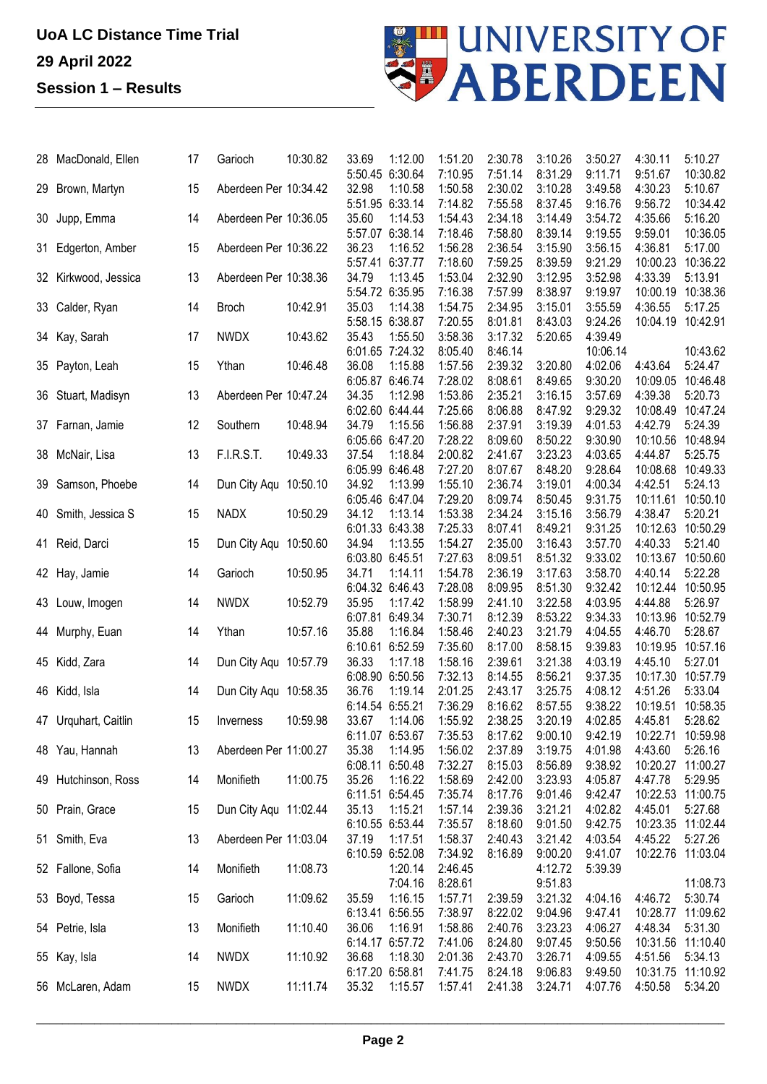## **UoA LC Distance Time Trial 29 April 2022 Session 1 – Results**



|    | 28 MacDonald, Ellen  | 17 | Garioch               | 10:30.82 | 33.69                    | 1:12.00 | 1:51.20            | 2:30.78            | 3:10.26            | 3:50.27             | 4:30.11             | 5:10.27             |
|----|----------------------|----|-----------------------|----------|--------------------------|---------|--------------------|--------------------|--------------------|---------------------|---------------------|---------------------|
|    | 29 Brown, Martyn     | 15 | Aberdeen Per 10:34.42 |          | 5:50.45 6:30.64<br>32.98 | 1:10.58 | 7:10.95<br>1:50.58 | 7:51.14<br>2:30.02 | 8:31.29<br>3:10.28 | 9:11.71<br>3:49.58  | 9:51.67<br>4:30.23  | 10:30.82<br>5:10.67 |
|    | 30 Jupp, Emma        | 14 | Aberdeen Per 10:36.05 |          | 5:51.95 6:33.14<br>35.60 | 1:14.53 | 7:14.82<br>1:54.43 | 7:55.58<br>2:34.18 | 8:37.45<br>3:14.49 | 9:16.76<br>3:54.72  | 9:56.72<br>4:35.66  | 10:34.42<br>5:16.20 |
| 31 | Edgerton, Amber      | 15 | Aberdeen Per 10:36.22 |          | 5:57.07 6:38.14<br>36.23 | 1:16.52 | 7:18.46<br>1:56.28 | 7:58.80<br>2:36.54 | 8:39.14<br>3:15.90 | 9:19.55<br>3:56.15  | 9:59.01<br>4:36.81  | 10:36.05<br>5:17.00 |
|    | 32 Kirkwood, Jessica | 13 | Aberdeen Per 10:38.36 |          | 5:57.41 6:37.77<br>34.79 | 1:13.45 | 7:18.60<br>1:53.04 | 7:59.25<br>2:32.90 | 8:39.59<br>3:12.95 | 9:21.29<br>3:52.98  | 10:00.23<br>4:33.39 | 10:36.22<br>5:13.91 |
|    |                      |    |                       |          | 5:54.72 6:35.95          |         | 7:16.38            | 7:57.99            | 8:38.97            | 9:19.97             | 10:00.19            | 10:38.36            |
|    | 33 Calder, Ryan      | 14 | <b>Broch</b>          | 10:42.91 | 35.03<br>5:58.15 6:38.87 | 1:14.38 | 1:54.75<br>7:20.55 | 2:34.95<br>8:01.81 | 3:15.01<br>8:43.03 | 3:55.59<br>9:24.26  | 4:36.55<br>10:04.19 | 5:17.25<br>10:42.91 |
|    | 34 Kay, Sarah        | 17 | <b>NWDX</b>           | 10:43.62 | 35.43<br>6:01.65 7:24.32 | 1:55.50 | 3:58.36            | 3:17.32<br>8:46.14 | 5:20.65            | 4:39.49             |                     | 10:43.62            |
|    | 35 Payton, Leah      | 15 | Ythan                 | 10:46.48 | 36.08                    | 1:15.88 | 8:05.40<br>1:57.56 | 2:39.32            | 3:20.80            | 10:06.14<br>4:02.06 | 4:43.64             | 5:24.47             |
|    | 36 Stuart, Madisyn   | 13 | Aberdeen Per 10:47.24 |          | 6:05.87 6:46.74<br>34.35 | 1:12.98 | 7:28.02<br>1:53.86 | 8:08.61<br>2:35.21 | 8:49.65<br>3:16.15 | 9:30.20<br>3:57.69  | 10:09.05<br>4:39.38 | 10:46.48<br>5:20.73 |
|    |                      |    |                       |          | 6:02.60 6:44.44          |         | 7:25.66            | 8:06.88            | 8:47.92            | 9:29.32             | 10:08.49            | 10:47.24            |
|    | 37 Farnan, Jamie     | 12 | Southern              | 10:48.94 | 34.79<br>6:05.66 6:47.20 | 1:15.56 | 1:56.88<br>7:28.22 | 2:37.91<br>8:09.60 | 3:19.39<br>8:50.22 | 4:01.53<br>9:30.90  | 4:42.79<br>10:10.56 | 5:24.39<br>10:48.94 |
|    | 38 McNair, Lisa      | 13 | F.I.R.S.T.            | 10:49.33 | 37.54                    | 1:18.84 | 2:00.82            | 2:41.67            | 3:23.23            | 4:03.65             | 4:44.87             | 5:25.75             |
|    |                      |    |                       |          | 6:05.99 6:46.48          |         | 7:27.20            | 8:07.67            | 8:48.20            | 9:28.64             | 10:08.68            | 10:49.33            |
|    | 39 Samson, Phoebe    | 14 | Dun City Aqu          | 10:50.10 | 34.92                    | 1:13.99 | 1:55.10            | 2:36.74            | 3:19.01            | 4:00.34             | 4:42.51             | 5:24.13             |
|    |                      |    |                       |          | 6:05.46 6:47.04          |         | 7:29.20            | 8:09.74            | 8:50.45            | 9:31.75             | 10:11.61            | 10:50.10            |
|    | 40 Smith, Jessica S  | 15 | <b>NADX</b>           | 10:50.29 | 34.12                    | 1:13.14 | 1:53.38            | 2:34.24            | 3:15.16            | 3:56.79             | 4:38.47             | 5:20.21             |
|    |                      |    |                       |          | 6:01.33 6:43.38          |         | 7:25.33            | 8:07.41            | 8:49.21            | 9:31.25             | 10:12.63            | 10:50.29            |
|    | 41 Reid, Darci       | 15 | Dun City Aqu 10:50.60 |          | 34.94                    | 1:13.55 | 1:54.27            | 2:35.00            | 3:16.43            | 3:57.70             | 4:40.33             | 5:21.40             |
|    |                      |    |                       |          | 6:03.80 6:45.51          |         | 7:27.63            | 8:09.51            | 8:51.32            | 9:33.02             | 10:13.67            | 10:50.60            |
|    | 42 Hay, Jamie        | 14 | Garioch               | 10:50.95 | 34.71                    | 1:14.11 | 1:54.78            | 2:36.19            | 3:17.63            | 3:58.70             | 4:40.14             | 5:22.28             |
|    |                      |    |                       |          | 6:04.32 6:46.43          |         | 7:28.08            | 8:09.95            | 8:51.30            | 9:32.42             | 10:12.44            | 10:50.95            |
|    | 43 Louw, Imogen      | 14 | <b>NWDX</b>           | 10:52.79 | 35.95<br>6:07.81 6:49.34 | 1:17.42 | 1:58.99<br>7:30.71 | 2:41.10<br>8:12.39 | 3:22.58<br>8:53.22 | 4:03.95             | 4:44.88<br>10:13.96 | 5:26.97<br>10:52.79 |
|    | 44 Murphy, Euan      | 14 | Ythan                 | 10:57.16 | 35.88                    | 1:16.84 | 1:58.46            | 2:40.23            | 3:21.79            | 9:34.33<br>4:04.55  | 4:46.70             | 5:28.67             |
|    |                      |    |                       |          | 6:10.61 6:52.59          |         | 7:35.60            | 8:17.00            | 8:58.15            | 9:39.83             | 10:19.95            | 10:57.16            |
|    | 45 Kidd, Zara        | 14 | Dun City Aqu 10:57.79 |          | 36.33                    | 1:17.18 | 1:58.16            | 2:39.61            | 3:21.38            | 4:03.19             | 4:45.10             | 5:27.01             |
|    |                      |    |                       |          | 6:08.90 6:50.56          |         | 7:32.13            | 8:14.55            | 8:56.21            | 9:37.35             | 10:17.30            | 10:57.79            |
|    | 46 Kidd, Isla        | 14 | Dun City Agu 10:58.35 |          | 36.76                    | 1:19.14 | 2:01.25            | 2:43.17            | 3:25.75            | 4:08.12             | 4:51.26             | 5:33.04             |
|    |                      |    |                       |          | 6:14.54 6:55.21          |         | 7:36.29            | 8:16.62            | 8:57.55            | 9:38.22             | 10:19.51 10:58.35   |                     |
|    | 47 Urquhart, Caitlin | 15 | Inverness             | 10:59.98 | 33.67                    | 1:14.06 | 1:55.92            | 2:38.25            | 3:20.19            | 4:02.85             | 4:45.81             | 5:28.62             |
|    |                      |    |                       |          | 6:11.07 6:53.67          |         | 7:35.53            | 8:17.62            | 9:00.10            | 9:42.19             | 10:22.71 10:59.98   |                     |
|    | 48 Yau, Hannah       | 13 | Aberdeen Per 11:00.27 |          | 35.38                    | 1:14.95 | 1:56.02            | 2:37.89            | 3:19.75            | 4:01.98             | 4:43.60             | 5:26.16             |
|    |                      |    |                       |          | 6:08.11 6:50.48          |         | 7:32.27            | 8:15.03            | 8:56.89            | 9:38.92             |                     | 10:20.27 11:00.27   |
|    | 49 Hutchinson, Ross  | 14 | Monifieth             | 11:00.75 | 35.26                    | 1:16.22 | 1:58.69            | 2:42.00            | 3:23.93            | 4:05.87             | 4:47.78             | 5:29.95             |
|    |                      |    |                       |          | 6:11.51 6:54.45          |         | 7:35.74            | 8:17.76            | 9:01.46            | 9:42.47             | 10:22.53 11:00.75   |                     |
|    | 50 Prain, Grace      | 15 | Dun City Aqu 11:02.44 |          | 35.13                    | 1:15.21 | 1:57.14            | 2:39.36            | 3:21.21            | 4:02.82             | 4:45.01             | 5:27.68             |
|    |                      |    |                       |          | 6:10.55 6:53.44          |         | 7:35.57            | 8:18.60            | 9:01.50            | 9:42.75             | 10:23.35 11:02.44   |                     |
|    | 51 Smith, Eva        | 13 | Aberdeen Per 11:03.04 |          | 37.19                    | 1:17.51 | 1:58.37            | 2:40.43            | 3:21.42            | 4:03.54             | 4:45.22             | 5:27.26             |
|    | 52 Fallone, Sofia    | 14 | Monifieth             | 11:08.73 | 6:10.59 6:52.08          | 1:20.14 | 7:34.92<br>2:46.45 | 8:16.89            | 9:00.20<br>4:12.72 | 9:41.07<br>5:39.39  | 10:22.76 11:03.04   |                     |
|    |                      |    |                       |          |                          | 7:04.16 | 8:28.61            |                    | 9:51.83            |                     |                     | 11:08.73            |
|    | 53 Boyd, Tessa       | 15 | Garioch               | 11:09.62 | 35.59                    | 1:16.15 | 1:57.71            | 2:39.59            | 3:21.32            | 4:04.16             | 4:46.72             | 5:30.74             |
|    |                      |    |                       |          | 6:13.41 6:56.55          |         | 7:38.97            | 8:22.02            | 9:04.96            | 9:47.41             | 10:28.77            | 11:09.62            |
|    | 54 Petrie, Isla      | 13 | Monifieth             | 11:10.40 | 36.06                    | 1:16.91 | 1:58.86            | 2:40.76            | 3:23.23            | 4:06.27             | 4:48.34             | 5:31.30             |
|    |                      |    |                       |          | 6:14.17 6:57.72          |         | 7:41.06            | 8:24.80            | 9:07.45            | 9:50.56             | 10:31.56 11:10.40   |                     |
|    | 55 Kay, Isla         | 14 | <b>NWDX</b>           | 11:10.92 | 36.68                    | 1:18.30 | 2:01.36            | 2:43.70            | 3:26.71            | 4:09.55             | 4:51.56             | 5:34.13             |
|    |                      |    |                       |          | 6:17.20 6:58.81          |         | 7:41.75            | 8:24.18            | 9:06.83            | 9:49.50             |                     | 10:31.75 11:10.92   |
|    | 56 McLaren, Adam     | 15 | <b>NWDX</b>           | 11:11.74 | 35.32                    | 1:15.57 | 1:57.41            | 2:41.38            | 3:24.71            | 4:07.76             | 4:50.58             | 5:34.20             |
|    |                      |    |                       |          |                          |         |                    |                    |                    |                     |                     |                     |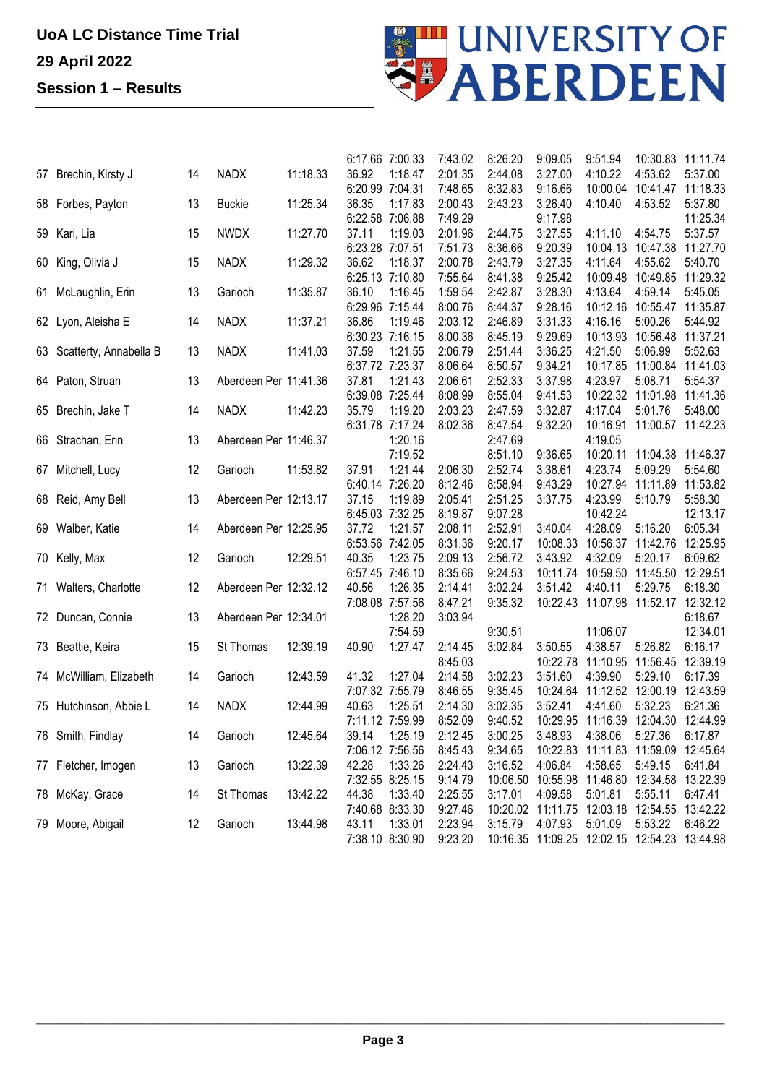

|                           |    |                       |          | 6:17.66 7:00.33    | 7:43.02 | 8:26.20            | 9:09.05           | 9:51.94                                      | 10:30.83                   | 11:11.74 |
|---------------------------|----|-----------------------|----------|--------------------|---------|--------------------|-------------------|----------------------------------------------|----------------------------|----------|
| 57 Brechin, Kirsty J      | 14 | <b>NADX</b>           | 11:18.33 | 1:18.47<br>36.92   | 2:01.35 | 2:44.08            | 3:27.00           | 4:10.22                                      | 4:53.62                    | 5:37.00  |
|                           |    |                       |          | 6:20.99 7:04.31    | 7:48.65 | 8:32.83            | 9:16.66           | 10:00.04                                     | 10:41.47                   | 11:18.33 |
| 58 Forbes, Payton         | 13 | <b>Buckie</b>         | 11:25.34 | 36.35<br>1:17.83   | 2:00.43 | 2:43.23            | 3:26.40           | 4:10.40                                      | 4:53.52                    | 5:37.80  |
|                           |    |                       |          | 6:22.58 7:06.88    | 7:49.29 |                    | 9:17.98           |                                              |                            | 11:25.34 |
| 59 Kari, Lia              | 15 | <b>NWDX</b>           | 11:27.70 | 37.11<br>1:19.03   | 2:01.96 | 2:44.75            | 3:27.55           | 4:11.10                                      | 4:54.75                    | 5:37.57  |
|                           |    |                       |          | 6:23.28 7:07.51    | 7:51.73 | 8:36.66            | 9:20.39           | 10:04.13                                     | 10:47.38                   | 11:27.70 |
| 60 King, Olivia J         | 15 | <b>NADX</b>           | 11:29.32 | 36.62<br>1:18.37   | 2:00.78 | 2:43.79            | 3:27.35           | 4:11.64                                      | 4:55.62                    | 5:40.70  |
|                           |    |                       |          | 6:25.13 7:10.80    | 7:55.64 | 8:41.38            | 9:25.42           | 10:09.48                                     | 10:49.85                   | 11:29.32 |
| 61 McLaughlin, Erin       | 13 | Garioch               | 11:35.87 | 36.10<br>1:16.45   | 1:59.54 | 2:42.87            | 3:28.30           | 4:13.64                                      | 4:59.14                    | 5:45.05  |
|                           |    |                       |          | 6:29.96 7:15.44    | 8:00.76 | 8:44.37            | 9:28.16           | 10:12.16                                     | 10:55.47                   | 11:35.87 |
| 62 Lyon, Aleisha E        | 14 | <b>NADX</b>           | 11:37.21 | 36.86<br>1:19.46   | 2:03.12 | 2:46.89            | 3:31.33           | 4:16.16                                      | 5:00.26                    | 5:44.92  |
|                           |    |                       |          | 6:30.23 7:16.15    | 8:00.36 | 8:45.19            | 9:29.69           | 10:13.93                                     | 10:56.48                   | 11:37.21 |
| 63 Scatterty, Annabella B | 13 | <b>NADX</b>           | 11:41.03 | 1:21.55<br>37.59   | 2:06.79 | 2:51.44            | 3:36.25           | 4:21.50                                      | 5:06.99                    | 5:52.63  |
|                           |    |                       |          | 6:37.72 7:23.37    | 8:06.64 | 8:50.57            | 9:34.21           | 10:17.85                                     | 11:00.84                   | 11:41.03 |
| 64 Paton, Struan          | 13 | Aberdeen Per 11:41.36 |          | 37.81<br>1:21.43   | 2:06.61 | 2:52.33            | 3:37.98           | 4:23.97                                      | 5:08.71                    | 5:54.37  |
|                           |    |                       |          | 6:39.08 7:25.44    | 8:08.99 | 8:55.04            | 9:41.53           | 10:22.32                                     | 11:01.98                   | 11:41.36 |
| 65 Brechin, Jake T        | 14 | <b>NADX</b>           | 11:42.23 | 1:19.20<br>35.79   | 2:03.23 | 2:47.59            | 3:32.87           | 4:17.04                                      | 5:01.76                    | 5:48.00  |
|                           |    |                       |          | 6:31.78 7:17.24    | 8:02.36 | 8:47.54            | 9:32.20           | 10:16.91                                     | 11:00.57 11:42.23          |          |
| 66 Strachan, Erin         | 13 | Aberdeen Per 11:46.37 |          | 1:20.16<br>7:19.52 |         | 2:47.69<br>8:51.10 | 9:36.65           | 4:19.05<br>10:20.11                          | 11:04.38 11:46.37          |          |
|                           |    | Garioch               | 11:53.82 | 1:21.44<br>37.91   | 2:06.30 | 2:52.74            | 3:38.61           | 4:23.74                                      | 5:09.29                    | 5:54.60  |
| 67 Mitchell, Lucy         | 12 |                       |          | 6:40.14 7:26.20    | 8:12.46 | 8:58.94            | 9:43.29           | 10:27.94                                     | 11:11.89                   | 11:53.82 |
| 68 Reid, Amy Bell         | 13 | Aberdeen Per 12:13.17 |          | 37.15<br>1:19.89   | 2:05.41 | 2:51.25            | 3:37.75           | 4:23.99                                      | 5:10.79                    | 5:58.30  |
|                           |    |                       |          | 6:45.03 7:32.25    | 8:19.87 | 9:07.28            |                   | 10:42.24                                     |                            | 12:13.17 |
| 69 Walber, Katie          | 14 | Aberdeen Per 12:25.95 |          | 1:21.57<br>37.72   | 2:08.11 | 2:52.91            | 3:40.04           | 4:28.09                                      | 5:16.20                    | 6:05.34  |
|                           |    |                       |          | 6:53.56 7:42.05    | 8:31.36 | 9:20.17            | 10:08.33          | 10:56.37                                     | 11:42.76                   | 12:25.95 |
| 70 Kelly, Max             | 12 | Garioch               | 12:29.51 | 1:23.75<br>40.35   | 2:09.13 | 2:56.72            | 3:43.92           | 4:32.09                                      | 5:20.17                    | 6:09.62  |
|                           |    |                       |          | 6:57.45 7:46.10    | 8:35.66 | 9:24.53            | 10:11.74          | 10:59.50                                     | 11:45.50                   | 12:29.51 |
| 71 Walters, Charlotte     | 12 | Aberdeen Per 12:32.12 |          | 40.56<br>1:26.35   | 2:14.41 | 3:02.24            | 3:51.42           | 4:40.11                                      | 5:29.75                    | 6:18.30  |
|                           |    |                       |          | 7:08.08 7:57.56    | 8:47.21 | 9:35.32            | 10:22.43          | 11:07.98                                     | 11:52.17                   | 12:32.12 |
| 72 Duncan, Connie         | 13 | Aberdeen Per 12:34.01 |          | 1:28.20            | 3:03.94 |                    |                   |                                              |                            | 6:18.67  |
|                           |    |                       |          | 7:54.59            |         | 9:30.51            |                   | 11:06.07                                     |                            | 12:34.01 |
| 73 Beattie, Keira         | 15 | St Thomas             | 12:39.19 | 1:27.47<br>40.90   | 2:14.45 | 3:02.84            | 3:50.55           | 4:38.57                                      | 5:26.82                    | 6:16.17  |
|                           |    |                       |          |                    | 8:45.03 |                    | 10:22.78          | 11:10.95                                     | 11:56.45                   | 12:39.19 |
| 74 McWilliam, Elizabeth   | 14 | Garioch               | 12:43.59 | 1:27.04<br>41.32   | 2:14.58 | 3:02.23            | 3:51.60           | 4:39.90                                      | 5:29.10                    | 6:17.39  |
|                           |    |                       |          | 7:07.32 7:55.79    | 8:46.55 | 9:35.45            | 10:24.64          | 11:12.52                                     | 12:00.19                   | 12:43.59 |
| 75 Hutchinson, Abbie L    | 14 | <b>NADX</b>           | 12:44.99 | 40.63<br>1:25.51   | 2:14.30 | 3:02.35            | 3:52.41           | 4:41.60                                      | 5:32.23                    | 6:21.36  |
|                           |    |                       |          | 7:11.12 7:59.99    | 8:52.09 | 9:40.52            | 10:29.95          |                                              | 11:16.39 12:04.30 12:44.99 |          |
| 76 Smith, Findlay         | 14 | Garioch               | 12:45.64 | 1:25.19<br>39.14   | 2:12.45 | 3:00.25            | 3:48.93           | 4:38.06                                      | 5:27.36                    | 6:17.87  |
|                           |    |                       |          | 7:06.12 7:56.56    | 8:45.43 | 9:34.65            | 10:22.83          |                                              | 11:11.83 11:59.09          | 12:45.64 |
| 77 Fletcher, Imogen       | 13 | Garioch               | 13:22.39 | 42.28<br>1:33.26   | 2:24.43 | 3:16.52            | 4:06.84           | 4:58.65                                      | 5:49.15                    | 6:41.84  |
|                           |    |                       |          | 7:32.55 8:25.15    | 9:14.79 |                    | 10:06.50 10:55.98 |                                              | 11:46.80 12:34.58 13:22.39 |          |
| 78 McKay, Grace           | 14 | St Thomas             | 13:42.22 | 44.38<br>1:33.40   | 2:25.55 | 3:17.01            | 4:09.58           | 5:01.81                                      | 5:55.11                    | 6:47.41  |
|                           |    |                       |          | 7:40.68 8:33.30    | 9:27.46 |                    |                   | 10:20.02 11:11.75 12:03.18 12:54.55          |                            | 13:42.22 |
| 79 Moore, Abigail         | 12 | Garioch               | 13:44.98 | 43.11<br>1:33.01   | 2:23.94 | 3:15.79            | 4:07.93           | 5:01.09                                      | 5:53.22                    | 6:46.22  |
|                           |    |                       |          | 7:38.10 8:30.90    | 9:23.20 |                    |                   | 10:16.35 11:09.25 12:02.15 12:54.23 13:44.98 |                            |          |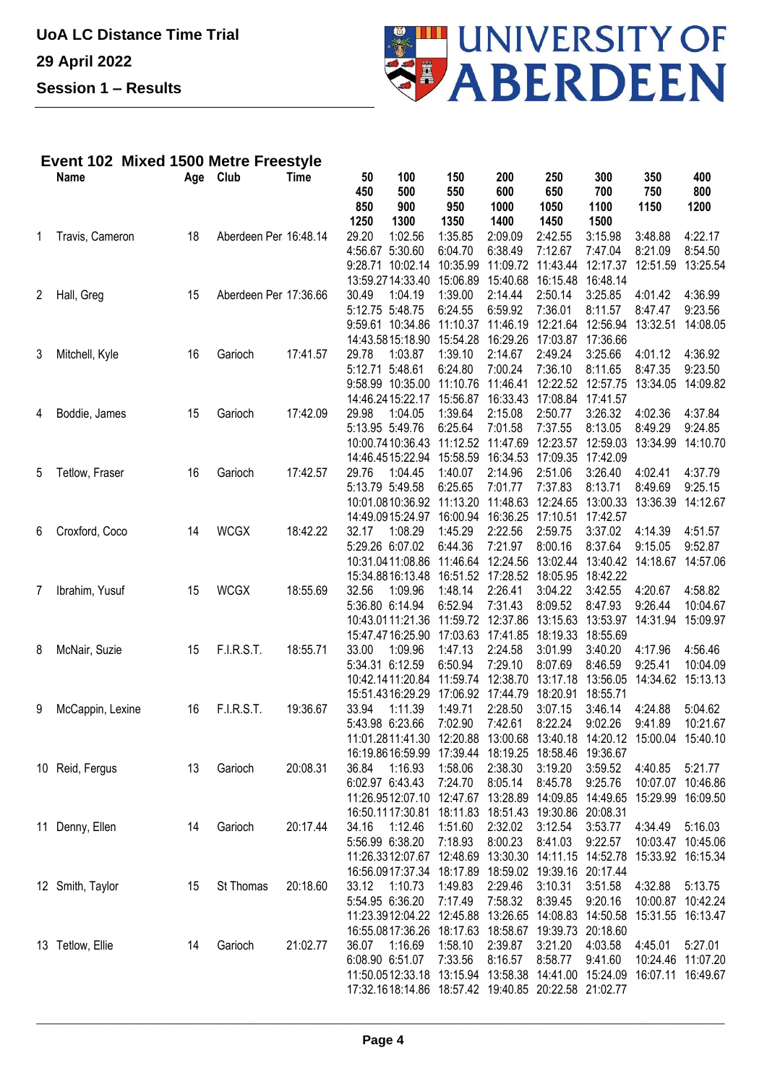

## **Event 102 Mixed 1500 Metre Freestyle**

|   | <b>Name</b>      | Age | Club                  | <b>Time</b> | 50              | 100                       | 150                       | 200                                                      | 250         | 300         | 350               | 400         |
|---|------------------|-----|-----------------------|-------------|-----------------|---------------------------|---------------------------|----------------------------------------------------------|-------------|-------------|-------------------|-------------|
|   |                  |     |                       |             | 450<br>850      | 500<br>900                | 550<br>950                | 600<br>1000                                              | 650<br>1050 | 700<br>1100 | 750<br>1150       | 800<br>1200 |
|   |                  |     |                       |             | 1250            | 1300                      | 1350                      | 1400                                                     | 1450        | 1500        |                   |             |
| 1 | Travis, Cameron  | 18  | Aberdeen Per 16:48.14 |             | 29.20           | 1:02.56                   | 1:35.85                   | 2:09.09                                                  | 2:42.55     | 3:15.98     | 3:48.88           | 4:22.17     |
|   |                  |     |                       |             | 4:56.67 5:30.60 |                           | 6:04.70                   | 6:38.49                                                  | 7:12.67     | 7:47.04     | 8:21.09           | 8:54.50     |
|   |                  |     |                       |             |                 | 9:28.71 10:02.14          | 10:35.99                  | 11:09.72                                                 | 11:43.44    | 12:17.37    | 12:51.59          | 13:25.54    |
|   |                  |     |                       |             |                 | 13:59.2714:33.40          | 15:06.89                  | 15:40.68                                                 | 16:15.48    | 16:48.14    |                   |             |
| 2 | Hall, Greg       | 15  | Aberdeen Per 17:36.66 |             | 30.49           | 1:04.19                   | 1:39.00                   | 2:14.44                                                  | 2:50.14     | 3:25.85     | 4:01.42           | 4:36.99     |
|   |                  |     |                       |             | 5:12.75 5:48.75 |                           | 6:24.55                   | 6:59.92                                                  | 7:36.01     | 8:11.57     | 8:47.47           | 9:23.56     |
|   |                  |     |                       |             |                 | 9:59.61 10:34.86          | 11:10.37                  | 11:46.19                                                 | 12:21.64    | 12:56.94    | 13:32.51          | 14:08.05    |
|   |                  |     |                       |             |                 | 14:43.5815:18.90          | 15:54.28                  | 16:29.26                                                 | 17:03.87    | 17:36.66    |                   |             |
| 3 | Mitchell, Kyle   | 16  | Garioch               | 17:41.57    | 29.78           | 1:03.87                   | 1:39.10                   | 2:14.67                                                  | 2:49.24     | 3:25.66     | 4:01.12           | 4:36.92     |
|   |                  |     |                       |             | 5:12.71         | 5:48.61                   | 6:24.80                   | 7:00.24                                                  | 7:36.10     | 8:11.65     | 8:47.35           | 9:23.50     |
|   |                  |     |                       |             |                 | 9:58.99 10:35.00          | 11:10.76                  | 11:46.41                                                 | 12:22.52    | 12:57.75    | 13:34.05          | 14:09.82    |
|   |                  |     |                       |             |                 | 14:46.2415:22.17          | 15:56.87                  | 16:33.43                                                 | 17:08.84    | 17:41.57    |                   |             |
| 4 | Boddie, James    | 15  | Garioch               | 17:42.09    | 29.98           | 1:04.05                   | 1:39.64                   | 2:15.08                                                  | 2:50.77     | 3:26.32     | 4:02.36           | 4:37.84     |
|   |                  |     |                       |             | 5:13.95 5:49.76 |                           | 6:25.64                   | 7:01.58                                                  | 7:37.55     | 8:13.05     | 8:49.29           | 9:24.85     |
|   |                  |     |                       |             |                 | 10:00.7410:36.43          | 11:12.52                  | 11:47.69                                                 | 12:23.57    | 12:59.03    | 13:34.99          | 14:10.70    |
|   |                  |     |                       |             |                 | 14:46.4515:22.94          | 15:58.59                  | 16:34.53                                                 | 17:09.35    | 17:42.09    |                   |             |
| 5 | Tetlow, Fraser   | 16  | Garioch               | 17:42.57    | 29.76           | 1:04.45                   | 1:40.07                   | 2:14.96                                                  | 2:51.06     | 3:26.40     | 4:02.41           | 4:37.79     |
|   |                  |     |                       |             | 5:13.79 5:49.58 |                           | 6:25.65                   | 7:01.77                                                  | 7:37.83     | 8:13.71     | 8:49.69           | 9:25.15     |
|   |                  |     |                       |             |                 | 10:01.0810:36.92          | 11:13.20                  | 11:48.63                                                 | 12:24.65    | 13:00.33    | 13:36.39          | 14:12.67    |
|   |                  |     |                       |             |                 | 14:49.0915:24.97          | 16:00.94                  | 16:36.25                                                 | 17:10.51    | 17:42.57    |                   |             |
| 6 | Croxford, Coco   | 14  | <b>WCGX</b>           | 18:42.22    | 32.17           | 1:08.29                   | 1:45.29                   | 2:22.56                                                  | 2:59.75     | 3:37.02     | 4:14.39           | 4:51.57     |
|   |                  |     |                       |             | 5:29.26 6:07.02 |                           | 6:44.36                   | 7:21.97                                                  | 8:00.16     | 8:37.64     | 9:15.05           | 9:52.87     |
|   |                  |     |                       |             |                 | 10:31.0411:08.86          | 11:46.64                  | 12:24.56                                                 | 13:02.44    | 13:40.42    | 14:18.67          | 14:57.06    |
|   |                  |     |                       |             |                 | 15:34.8816:13.48          | 16:51.52                  | 17:28.52                                                 | 18:05.95    | 18:42.22    |                   |             |
| 7 | Ibrahim, Yusuf   | 15  | <b>WCGX</b>           | 18:55.69    | 32.56           | 1:09.96                   | 1:48.14                   | 2:26.41                                                  | 3:04.22     | 3:42.55     | 4:20.67           | 4:58.82     |
|   |                  |     |                       |             | 5:36.80 6:14.94 |                           | 6:52.94                   | 7:31.43                                                  | 8:09.52     | 8:47.93     | 9:26.44           | 10:04.67    |
|   |                  |     |                       |             |                 | 10:43.0111:21.36          | 11:59.72                  | 12:37.86                                                 | 13:15.63    | 13:53.97    | 14:31.94          | 15:09.97    |
|   |                  |     |                       |             |                 | 15:47.4716:25.90          | 17:03.63                  | 17:41.85                                                 | 18:19.33    | 18:55.69    |                   |             |
| 8 | McNair, Suzie    | 15  | F.I.R.S.T.            | 18:55.71    | 33.00           | 1:09.96                   | 1:47.13                   | 2:24.58                                                  | 3:01.99     | 3:40.20     | 4:17.96           | 4:56.46     |
|   |                  |     |                       |             | 5:34.31 6:12.59 |                           | 6:50.94                   | 7:29.10                                                  | 8:07.69     | 8:46.59     | 9:25.41           | 10:04.09    |
|   |                  |     |                       |             |                 | 10:42.1411:20.84          | 11:59.74                  | 12:38.70                                                 | 13:17.18    | 13:56.05    | 14:34.62          | 15:13.13    |
|   |                  |     |                       |             |                 | 15:51.4316:29.29          | 17:06.92                  | 17:44.79                                                 | 18:20.91    | 18:55.71    |                   |             |
| 9 | McCappin, Lexine | 16  | F.I.R.S.T.            | 19:36.67    | 33.94           | 1:11.39                   | 1:49.71                   | 2:28.50                                                  | 3:07.15     | 3:46.14     | 4:24.88           | 5:04.62     |
|   |                  |     |                       |             | 5:43.98 6:23.66 |                           | 7:02.90                   | 7:42.61                                                  | 8:22.24     | 9:02.26     | 9:41.89           | 10:21.67    |
|   |                  |     |                       |             |                 | 11:01.2811:41.30          | 12:20.88                  | 13:00.68 13:40.18                                        |             | 14:20.12    | 15:00.04          | 15:40.10    |
|   |                  |     |                       |             |                 | 16:19.8616:59.99          | 17:39.44                  | 18:19.25 18:58.46                                        |             | 19:36.67    |                   |             |
|   | 10 Reid, Fergus  | 13  | Garioch               | 20:08.31    | 36.84           | 1:16.93                   | 1:58.06                   | 2:38.30                                                  | 3:19.20     | 3:59.52     | 4:40.85           | 5:21.77     |
|   |                  |     |                       |             | 6:02.97 6:43.43 |                           | 7:24.70                   | 8:05.14                                                  | 8:45.78     | 9:25.76     | 10:07.07 10:46.86 |             |
|   |                  |     |                       |             |                 |                           | 11:26.9512:07.10 12:47.67 | 13:28.89 14:09.85                                        |             | 14:49.65    | 15:29.99 16:09.50 |             |
|   |                  |     |                       |             |                 | 16:50.1117:30.81          | 18:11.83                  | 18:51.43 19:30.86                                        |             | 20:08.31    |                   |             |
|   | 11 Denny, Ellen  | 14  | Garioch               | 20:17.44    | 34.16           | 1:12.46                   | 1:51.60                   | 2:32.02                                                  | 3:12.54     | 3:53.77     | 4:34.49           | 5:16.03     |
|   |                  |     |                       |             | 5:56.99 6:38.20 |                           | 7:18.93                   | 8:00.23                                                  | 8:41.03     | 9:22.57     | 10:03.47 10:45.06 |             |
|   |                  |     |                       |             |                 | 11:26.3312:07.67 12:48.69 |                           | 13:30.30                                                 | 14:11.15    | 14:52.78    | 15:33.92 16:15.34 |             |
|   |                  |     |                       |             |                 | 16:56.0917:37.34          |                           | 18:17.89  18:59.02  19:39.16  20:17.44                   |             |             |                   |             |
|   | 12 Smith, Taylor | 15  | St Thomas             | 20:18.60    | 33.12           | 1:10.73                   | 1:49.83                   | 2:29.46                                                  | 3:10.31     | 3:51.58     | 4:32.88           | 5:13.75     |
|   |                  |     |                       |             | 5:54.95 6:36.20 |                           | 7:17.49                   | 7:58.32                                                  | 8:39.45     | 9:20.16     | 10:00.87 10:42.24 |             |
|   |                  |     |                       |             |                 |                           | 11:23.3912:04.22 12:45.88 | 13:26.65 14:08.83                                        |             | 14:50.58    | 15:31.55 16:13.47 |             |
|   |                  |     |                       |             |                 | 16:55.0817:36.26          |                           | 18:17.63 18:58.67 19:39.73                               |             | 20:18.60    |                   |             |
|   | 13 Tetlow, Ellie | 14  | Garioch               | 21:02.77    | 36.07           | 1:16.69                   | 1:58.10                   | 2:39.87                                                  | 3:21.20     | 4:03.58     | 4:45.01           | 5:27.01     |
|   |                  |     |                       |             | 6:08.90 6:51.07 |                           | 7:33.56                   | 8:16.57                                                  | 8:58.77     | 9:41.60     | 10:24.46 11:07.20 |             |
|   |                  |     |                       |             |                 | 11:50.0512:33.18 13:15.94 |                           | 13:58.38 14:41.00 15:24.09                               |             |             | 16:07.11 16:49.67 |             |
|   |                  |     |                       |             |                 |                           |                           | 17:32.1618:14.86  18:57.42  19:40.85  20:22.58  21:02.77 |             |             |                   |             |
|   |                  |     |                       |             |                 |                           |                           |                                                          |             |             |                   |             |